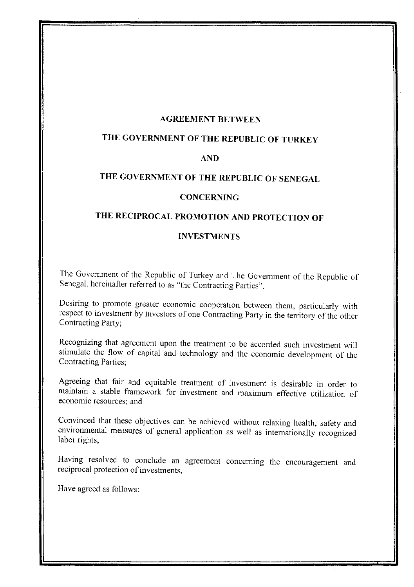#### **AGREEMENT BETWEEN**

## **THE GOVERNMENT OF THE REPUBLIC OF TURKEY**

#### **AND**

# **THE GOVERNMENT OF THE REPUBLIC OF SENEGAL**

#### **CONCERNING**

# **THE RECIPROCAL PROMOTION AND PROTECTION OF**

#### **INVESTMENTS**

The Government of the Republic of Turkey and The Government of the Republic of Senegal, hereinafter refened to as "the Contracting Parties".

Desiring to promote greater economic cooperation between them, particularly with respect to investment by investors of one Contracting Party in the territory of the other Contracting Party;

Recognizing that agreement upon the treatment to be accorded such investment will stimulate the flow of capital and technology and the economic development of the Contracting Parties;

Agreeing that fair and equitable treatment of investment is desirable in order to maintain a stable framework for investment and maximum effective utilization of economic resources; and

Convinced that these objectives can be achieved without relaxing health, safety and environmental measures of general application as well as internationally recognized labor rights,

Having resolved to conclude an agreement concerning the encouragement and reciprocal protection of investments,

Have agreed as follows: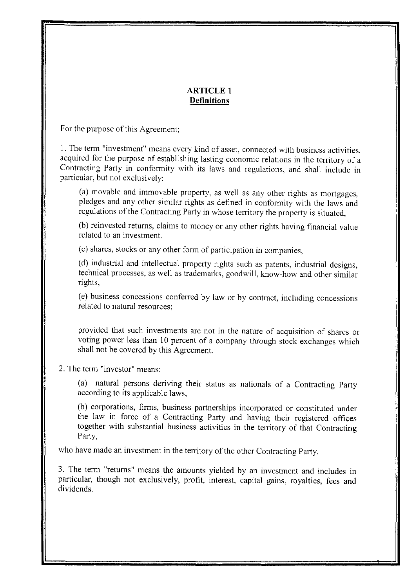#### **ARTICLE 1 Definitions**

For the purpose of this Agreement;

I. The tenn "investment" means every kind of asset, connected with business activities, acquired for the purpose of establishing lasting economic relations in the territory of a Contracting Party in confonnity with its laws and regulations, and shall include in particular, but not exclusively:

(a) movable and immovable property, as well as any other rights as mortgages, pledges and any other similar rights as defined in confonnity with the laws and regulations of the Contracting Party in whose territory the property is situated,

(b) reinvested returns, claims to money or any other rights having financial value related to an investment.

(c) shares, stocks or any other fonn of participation in companies,

(d) industrial and intellectual property rights such as patents, industrial designs, technical processes, as well as trademarks, goodwill, know-how and other similar rights,

(e) business concessions conferred by law or by contract, including concessions related to natural resources;

provided that such investments are not in the nature of acquisition of shares or voting power less than 10 percent of a company through stock exchanges which shall not be covered by this Agreement.

## 2. The tenn "investor" means:

(a) natural persons deriving their status as nationals of a Contracting Party according to its applicable laws,

(b) corporations, finns, business partnerships incorporated or constituted under the law in force of a Contracting Party and having their registered offices together with substantial business activities in the territory of that Contracting Party,

who have made an investment in the territory of the other Contracting Party.

3. The tenn "returns" means the amounts yielded by an investment and includes in particular, though not exclusively, profit, interest, capital gains, royalties, fees and dividends.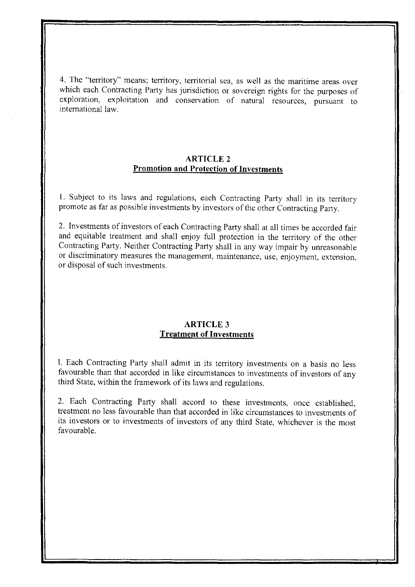4. The "territory" means; territory, territorial sea, as well as the maritime areas over which each Contracting Party has jurisdiction or sovereign rights for the purposes of exploration, exploitation and conservation of natural resources, pursuant to international law.

## **ARTICLE 2 Promotion and Protection of Investments**

I. Subject to its laws and regulations, each Contracting Party shall in its territory promote as far as possible investments by investors of the other Contracting Party.

2. Investments of investors of each Contracting Party shall at all times be accorded fair and equitable treatment and shall enjoy full protection in the territory of the other Contracting Party. Neither Contracting Party shall in any way impair by unreasonable or discriminatory measures the management, maintenance, use, enjoyment, extension, or disposal of such investments.

#### ARTICLE 3 **Treatment of Investments**

I. Each Contracting Party shall admit in its territory investments **on** a basis no less favourable than that accorded in like circumstances to investments of investors of any third State, within the framework of its laws and regulations.

2. Each Contracting Party shall accord to these investments, once established, treatment no less favourable than that accorded in like circumstances to investments of its investors or to investments of investors of any third State, whichever is the most favourable.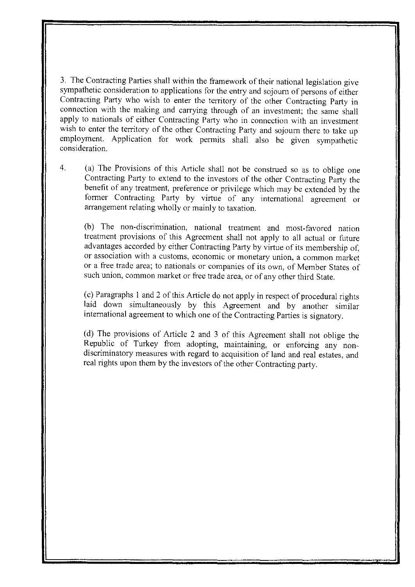3. The Contracting Parties shall within the framework of their national legislation give sympathetic consideration to applications for the entry and sojourn of persons of either Contracting Party who wish to enter the temtory of the other Contracting Party in connection with the making and carrying through of an investment; the same shall apply to nationals of either Contracting Party who in connection with an investment wish to enter the territory of the other Contracting Party and sojourn there to take up employment. Application for work pennits shall also be given sympathetic consideration.

4. (a) The Provisions of this Article shall not be construed so as to oblige one Contracting Party to extend to the investors of the other Contracting Party the benefit of any treatment, preference or privilege which may be extended by the former Contracting Party by virtue of any international agreement or arrangement relating wholly or mainly to taxation.

(b) The non-discrimination, national treatment and most-favored nation treatment provisions of this Agreement shall not apply to all actual or future advantages accorded by either Contracting Party by virtue of its membership of, or association with a customs, economic or monetary union, a common market or a free trade area; to nationals or companies of its own, of Member States of such union, common market or free trade area, or of any other third State.

(c) Paragraphs I and 2 of this Article do not apply in respect of procedural rights laid down simultaneously by this Agreement and by another similar international agreement to which one of the Contracting Parties is signatory.

(d) The provisions of Article 2 and 3 of this Agreement shaH not oblige the Republic of Turkey from adopting, maintaining, or enforcing any nondiscriminatory measures with regard to acquisition of land and real estates, and real rights upon them by the investors of the other Contracting party.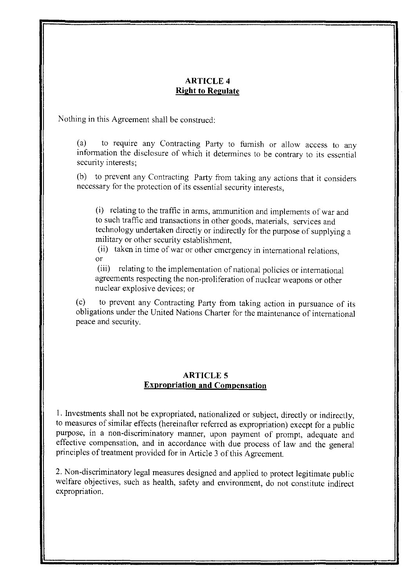## ARTICLE 4 **Right to Regulate**

Nothing in this Agreement shall be construed:

(a) to require any Contracting Party to furnish or allow access to any information the disclosure of which it determines to be contrary to its essential security interests;

(b) to prevent any Contracting Party from taking any actions that it considers necessary for the protection of its essential security interests,

(i) relating to the traffic in arms, ammunition and implements of war and to such traffic and transactions in other goods, materials, services and technology undertaken directly or indirectly for the purpose of supplying a military or other security establishment,

(ii) taken in time of war or other emergency in international relations, or

(iii) relating to the implementation of national policies or international agreements respecting the non-proliferation of nuclear weapons or other nuclear explosive devices; or

(c) to prevent any Contracting Party from taking action in pursuance of its obligations under the United Nations Charter for the maintenance of international peace and security.

## **ARTICLE 5 Expropriation and Compensation**

1. Investments shall not be expropriated, nationalized or subject, directly or indirectly, to measures of similar effects (hereinafter referred as expropriation) except for a public purpose, in a non-discriminatory manner, upon payment of prompt, adequate and effective compensation, and in accordance with due process of law and the general principles of treatment provided for in Article 3 of this Agreement.

2. Non-discriminatory legal measures designed and applied to protect legitimate public welfare objectives, such as health, safety and environment, do not constitute indirect expropriation.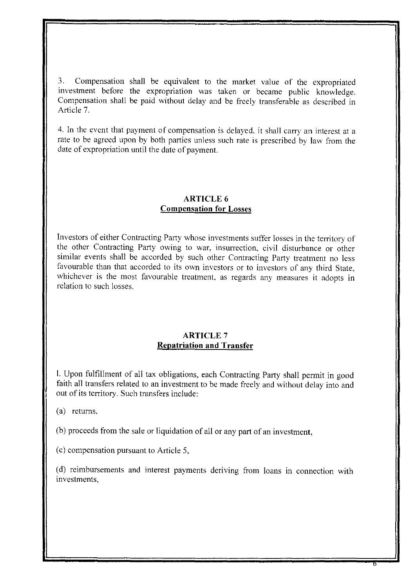3. Compensation shall be equivalent to the market value of the expropriated investment before the expropriation was taken or became public knowledge. Compensation shall be paid without delay and be freely transferable as described in Article 7.

4. In the event that payment of compensation is delayed. it shall carry an interest at a rate to be agreed upon by both parties unless such rate is prescribed by law from the date of expropriation until the date of payment.

## ARTICLE 6 **Compensation for Losses**

Investors of either Contracting Party whose investments suffer losses in the territory of the other Contracting Party owing to war. insurrection, civil disturbance or other similar events shall be accorded by such other Contracting Party treatment no less favourable than that accorded to its own investors or to investors of any third State. whichever is the most favourable treatment, as regards any measures it adopts in relation to such losses.

## ARTICLE 7 **Repatriation and Transfer**

I. Upon fulfillment of all tax obligations, each Contracting Party shall permit in good faith all transfers related to an investment to be made freely and without delay into and out of its territory. Such transfers include:

(a) retums,

(b) proceeds from the sale or liquidation of all or any part of an investment,

(c) compensation pursuant to Article 5,

(d) reimbursements and interest payments deriving from loans in connection with investments.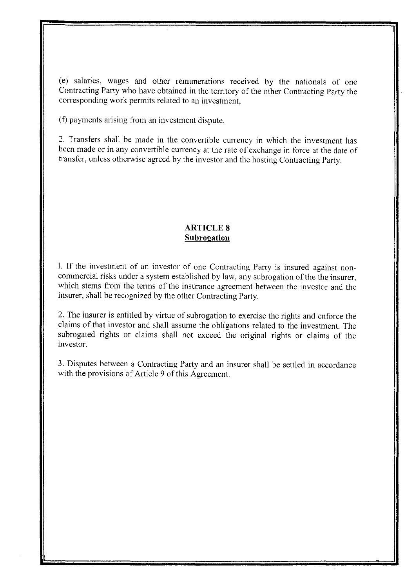(el salaries, wages and other remunerations received by the nationals of one Contracting Party who have obtained in the territory of the other Contracting Party the corresponding work permits related to an investment,

(f) payments arising from an investment dispute.

2. Transfers shall be made in the convertible currency in which the investment has been made or in any convertible currency at the rate of exchange in force at the date of transfer, unless otherwise agreed by the investor and the hosting Contracting Party.

## **ARTICLE 8 Subrogation**

**1. If** the investment of an investor of one Contracting Party is insured against noncommercial risks under a system established by law, any subrogation of the the insurer, which stems from the terms of the insurance agreement between the investor and the insurer, shall be recognized by the other Contracting Party.

2. The insurer is entitled by virtue of subrogation to exercise the rights and enforce the claims of that investor and shall assume the obligations related to the investment. The subrogated rights or claims shall not exceed the original rights or claims of the investor.

3. Disputes between a Contracting Party and an insurer shall be settled in accordance with the provisions of Article 9 of this Agreement.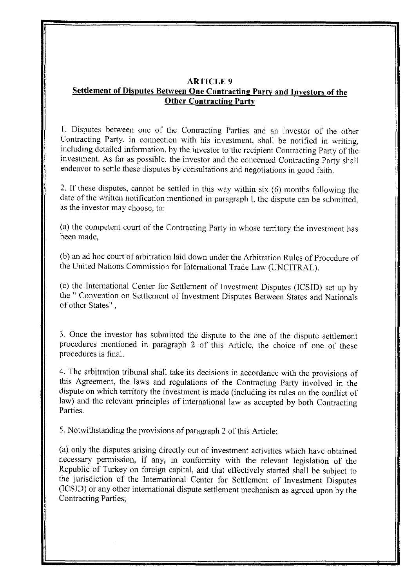## **ARTICLE** 9 **Settlement of Disputes Between One Contracting Party and Investors of the Other Contracting Party**

1. Disputes between one of the Contracting Parties and an investor of the other Contracting Party, in connection with his investment, shall be notified in writing, including detailed infonnation, by the investor to the recipient Contracting Party of the investment. As far as possible, the investor and the concerned Contracting Party shall endeavor to settle these disputes by consultations and negotiations in good faith.

2. If these disputes, cannot be settled in this way within six (6) months following the date of the written notification mentioned in paragraph I, the dispute can be submitted, as the investor may choose, to:

(a) the competent court of the Contracting Party in whose territory the investment has been made,

(b) an ad hoc court of arbitration laid down under the Arbitration Rules of Procedure of the United Nations Commission for International Trade Law (UNCITRAL).

(c) the International Center for Settlement of Investment Disputes (ICSID) set up by the" Convention on Settlement of Investment Disputes Between States and Nationals of other States" ,

3. Once the investor has submitted the dispute to the one of the dispute settlement procedures mentioned in paragraph 2 of this Article, the choice of one of these procedures is final.

4. The arbitration tribunal shall take its decisions in accordance with the provisions of this Agreement, the laws and regulations of the Contracting Party involved in the dispute on which territory the investment is made (including its rules on the conflict of law) and the relevant principles of international law as accepted by both Contracting Parties.

5. Notwithstanding the provisions of paragraph 2 of this Article;

(a) only the disputes arising directly out of investment activities which have obtained necessary pennission, if any, in confonnity with the relevant legislation of the Republic of Turkey on foreign capital, and that effectively started shall be subject to the jurisdiction of the International Center for Settlement of Investment Disputes (ICSID) or any other international dispute settlement mechanism as agreed upon by the Contracting Parties;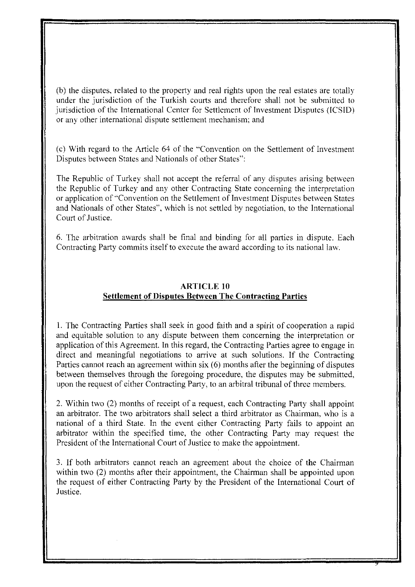(b) the disputes, related to the property and real rights upon the real estates are totally under the jurisdiction of the Turkish courts and therefore shall not be submitted to jurisdiction of the International Center for Settlement of Investment Disputes (ICSID) or any other international dispute settlement mechanism; and

(cl With regard to the Article 64 of the "Convention on the Settlement of Investment Disputes between States and Nationals of other States":

The Republic of Turkey shall not accept the referral of any disputes arising between the Republic of Turkey and any other Contracting State concerning the interpretation or application of "Convention on the Settlement of Investment Disputes between States and Nationals of other States", which is not settled by negotiation, to the International Court of Justice.

6. The arbitration awards shall be final and binding for all parties in dispute. Each Contracting Party commits itself to execute the award according to its national law.

## ARTICLE 10 Settlement of Disputes Between The Contracting Parties

1. The Contracting Parties shall seek in good faith and a spirit of cooperation a rapid and equitable solution to any dispute between them concerning the interpretation or application of this Agreement. In this regard, the Contracting Parties agree to engage in direct and meaningful negotiations to arrive at such solutions. If the Contracting Parties cannot reach an agreement within six (6) months after the beginning of disputes between themselves through the foregoing procedure, the disputes may be submitted, upon the request of either Contracting Party, to an arbitral tribunal of three members.

2. Within two (2) months of receipt of a request, each Contracting Party shall appoint an arbitrator. The two arbitrators shall select a third arbitrator as Chairman, who is a national of a third State. In the event either Contracting Party fails to appoint an arbitrator within the specified time, the other Contracting Party may request the President of the International Court of Justice to make the appointment.

3. If both arbitrators cannot reach an agreement about the choice of the Chairman within two (2) months after their appointment, the Chairman shall be appointed upon the request of either Contracting Party by the President of the International Court of Justice.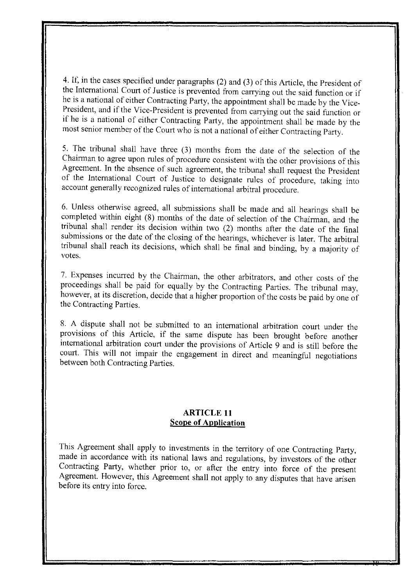4. If, in the cases specified under paragraphs (2) and (3) of this Article, the President of the International Court of Justice is prevented from carrying out the said function or if he is a national of either Contracting Party, the appointment shall be made by the Vice-President, and if the Vice-President is prevented from carrying out the said function or if he is a national of either Contracting Party, the appointment shall be made by the most senior member of the Court who is not a national of either Contracting Party.

5. The tribunal shall have three (3) months from the date of the selection of the Chairman to agree upon rules of procedure consistent with the other provisions of this Agreement. In the absence of such agreement, the tribunal shall request the President of the International Court of Justice to designate rules of procedure, taking into account generally recognized rules of international arbitral procedure.

6. Unless otherwise agreed, all submissions shall be made and all hearings shall be completed within eight (8) months of the date of selection of the Chairman, and the tribunal shall render its decision within two (2) months after the date of the final submissions or the date of the closing of the hearings, whichever is later. The arbitral tribunal shall reach its decisions, which shall be final and binding, by a majority of votes.

7. Expenses incurred by the Chairman, the other arbitrators, and other costs of the proceedings shall be paid for equally by the Contracting Parties. The tribunal may, however, at its discretion, decide that a higher proportion of the costs be paid by one of the Contracting Parties.

8. A dispute shall not be submitted to an international arbitration court under the provisions of this Article, if the same dispute has been brought before another international arbitration court under the provisions of Article 9 and is still before the court. This will not impair the engagement in direct and meaningful negotiations between both Contracting Parties.

## **ARTICLE 11 Scope of Application**

This Agreement shall apply to investments in the territory of one Contracting Party, made in accordance with its national laws and regulations, by investors of the other Contracting Party, whether prior to, or after the entry into force of the present Agreement. However, this Agreement shall not apply to any disputes that have arisen before its entry into force.